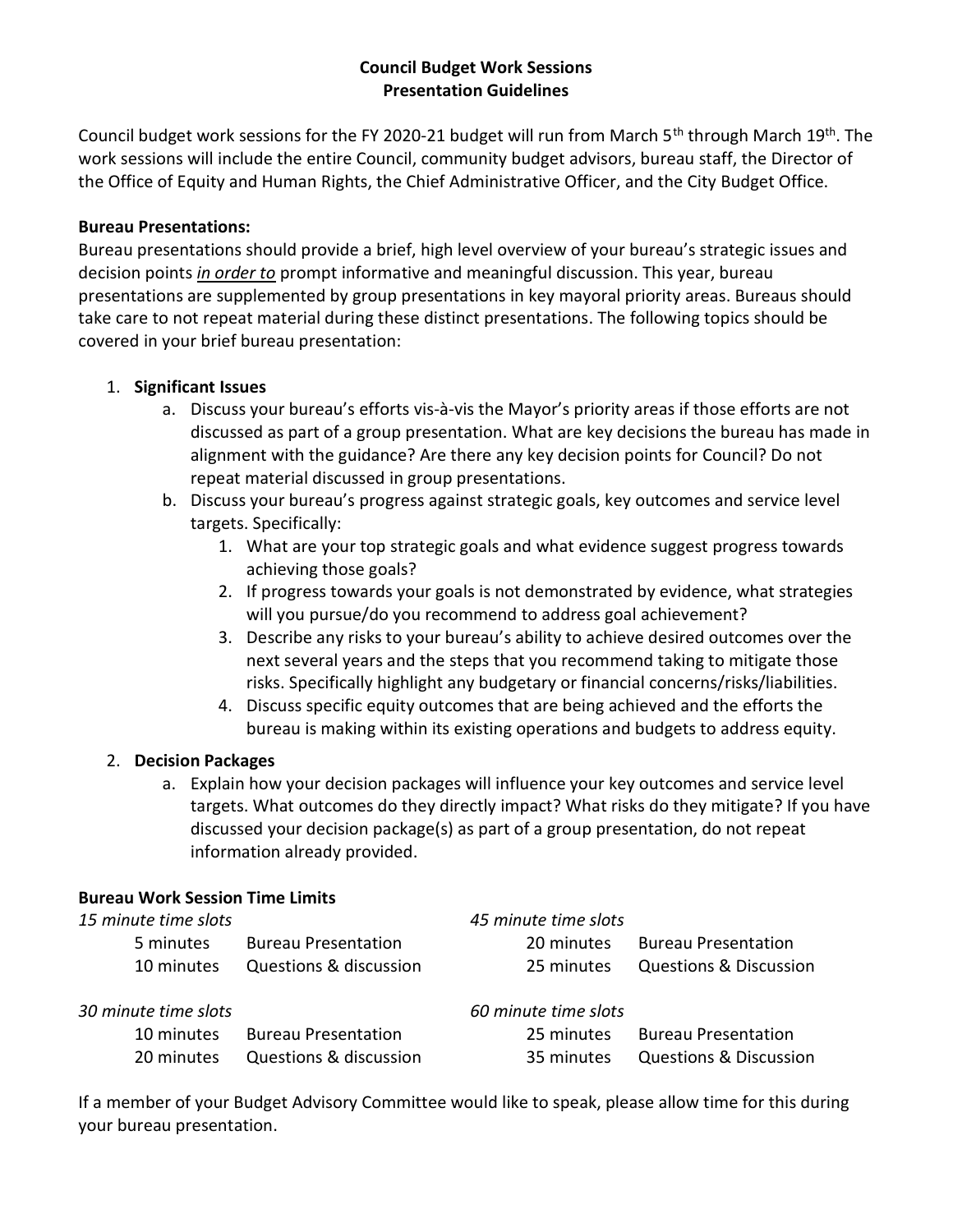### Council Budget Work Sessions Presentation Guidelines

Council budget work sessions for the FY 2020-21 budget will run from March 5<sup>th</sup> through March 19<sup>th</sup>. The work sessions will include the entire Council, community budget advisors, bureau staff, the Director of the Office of Equity and Human Rights, the Chief Administrative Officer, and the City Budget Office.

### Bureau Presentations:

Bureau presentations should provide a brief, high level overview of your bureau's strategic issues and decision points in order to prompt informative and meaningful discussion. This year, bureau presentations are supplemented by group presentations in key mayoral priority areas. Bureaus should take care to not repeat material during these distinct presentations. The following topics should be covered in your brief bureau presentation:

### 1. Significant Issues

- a. Discuss your bureau's efforts vis-à-vis the Mayor's priority areas if those efforts are not discussed as part of a group presentation. What are key decisions the bureau has made in alignment with the guidance? Are there any key decision points for Council? Do not repeat material discussed in group presentations.
- b. Discuss your bureau's progress against strategic goals, key outcomes and service level targets. Specifically:
	- 1. What are your top strategic goals and what evidence suggest progress towards achieving those goals?
	- 2. If progress towards your goals is not demonstrated by evidence, what strategies will you pursue/do you recommend to address goal achievement?
	- 3. Describe any risks to your bureau's ability to achieve desired outcomes over the next several years and the steps that you recommend taking to mitigate those risks. Specifically highlight any budgetary or financial concerns/risks/liabilities.
	- 4. Discuss specific equity outcomes that are being achieved and the efforts the bureau is making within its existing operations and budgets to address equity.

# 2. Decision Packages

a. Explain how your decision packages will influence your key outcomes and service level targets. What outcomes do they directly impact? What risks do they mitigate? If you have discussed your decision package(s) as part of a group presentation, do not repeat information already provided.

### Bureau Work Session Time Limits

| 15 minute time slots<br>5 minutes<br>10 minutes | <b>Bureau Presentation</b><br><b>Questions &amp; discussion</b> | 45 minute time slots<br>20 minutes<br>25 minutes | <b>Bureau Presentation</b><br><b>Questions &amp; Discussion</b> |
|-------------------------------------------------|-----------------------------------------------------------------|--------------------------------------------------|-----------------------------------------------------------------|
| 30 minute time slots                            |                                                                 | 60 minute time slots                             |                                                                 |
| 10 minutes                                      | <b>Bureau Presentation</b>                                      | 25 minutes                                       | <b>Bureau Presentation</b>                                      |
| 20 minutes                                      | <b>Questions &amp; discussion</b>                               | 35 minutes                                       | <b>Questions &amp; Discussion</b>                               |

If a member of your Budget Advisory Committee would like to speak, please allow time for this during your bureau presentation.